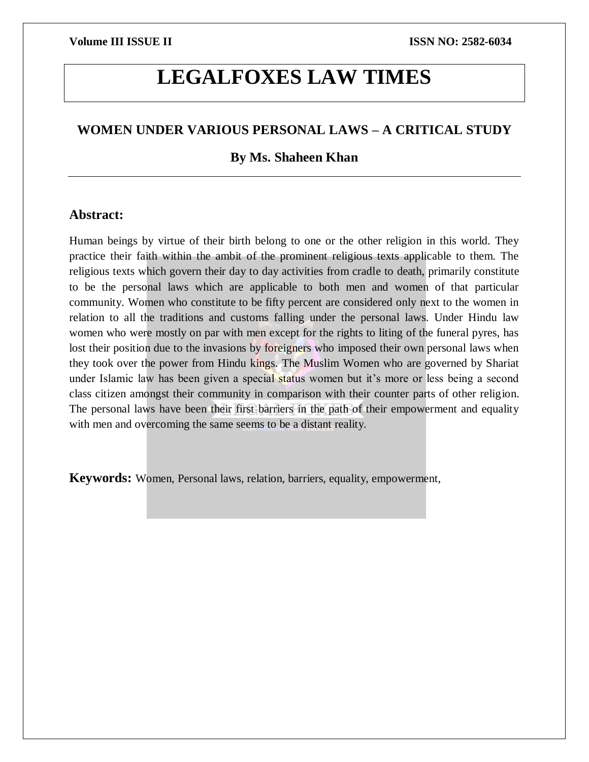# **LEGALFOXES LAW TIMES**

# **WOMEN UNDER VARIOUS PERSONAL LAWS – A CRITICAL STUDY**

# **By Ms. Shaheen Khan**

# **Abstract:**

Human beings by virtue of their birth belong to one or the other religion in this world. They practice their faith within the ambit of the prominent religious texts applicable to them. The religious texts which govern their day to day activities from cradle to death, primarily constitute to be the personal laws which are applicable to both men and women of that particular community. Women who constitute to be fifty percent are considered only next to the women in relation to all the traditions and customs falling under the personal laws. Under Hindu law women who were mostly on par with men except for the rights to liting of the funeral pyres, has lost their position due to the invasions by foreigners who imposed their own personal laws when they took over the power from Hindu kings. The Muslim Women who are governed by Shariat under Islamic law has been given a special status women but it's more or less being a second class citizen amongst their community in comparison with their counter parts of other religion. The personal laws have been their first barriers in the path of their empowerment and equality with men and overcoming the same seems to be a distant reality.

**Keywords:** Women, Personal laws, relation, barriers, equality, empowerment,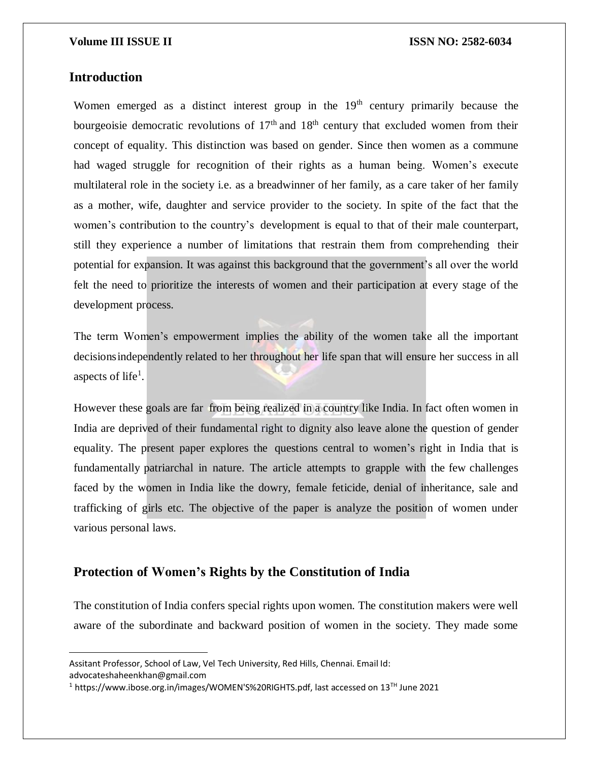## **Introduction**

 $\overline{a}$ 

Women emerged as a distinct interest group in the  $19<sup>th</sup>$  century primarily because the bourgeoisie democratic revolutions of  $17<sup>th</sup>$  and  $18<sup>th</sup>$  century that excluded women from their concept of equality. This distinction was based on gender. Since then women as a commune had waged struggle for recognition of their rights as a human being. Women's execute multilateral role in the society i.e. as a breadwinner of her family, as a care taker of her family as a mother, wife, daughter and service provider to the society. In spite of the fact that the women's contribution to the country's development is equal to that of their male counterpart, still they experience a number of limitations that restrain them from comprehending their potential for expansion. It was against this background that the government's all over the world felt the need to prioritize the interests of women and their participation at every stage of the development process.

The term Women's empowerment implies the ability of the women take all the important decisionsindependently related to her throughout her life span that will ensure her success in all aspects of life<sup>1</sup>.

However these goals are far from being realized in a country like India. In fact often women in India are deprived of their fundamental right to dignity also leave alone the question of gender equality. The present paper explores the questions central to women's right in India that is fundamentally patriarchal in nature. The article attempts to grapple with the few challenges faced by the women in India like the dowry, female feticide, denial of inheritance, sale and trafficking of girls etc. The objective of the paper is analyze the position of women under various personal laws.

# **Protection of Women's Rights by the Constitution of India**

The constitution of India confers special rights upon women. The constitution makers were well aware of the subordinate and backward position of women in the society. They made some

Assitant Professor, School of Law, Vel Tech University, Red Hills, Chennai. Email Id: advocateshaheenkhan@gmail.com

<sup>&</sup>lt;sup>1</sup> https://www.ibose.org.in/images/WOMEN'S%20RIGHTS.pdf, last accessed on 13<sup>TH</sup> June 2021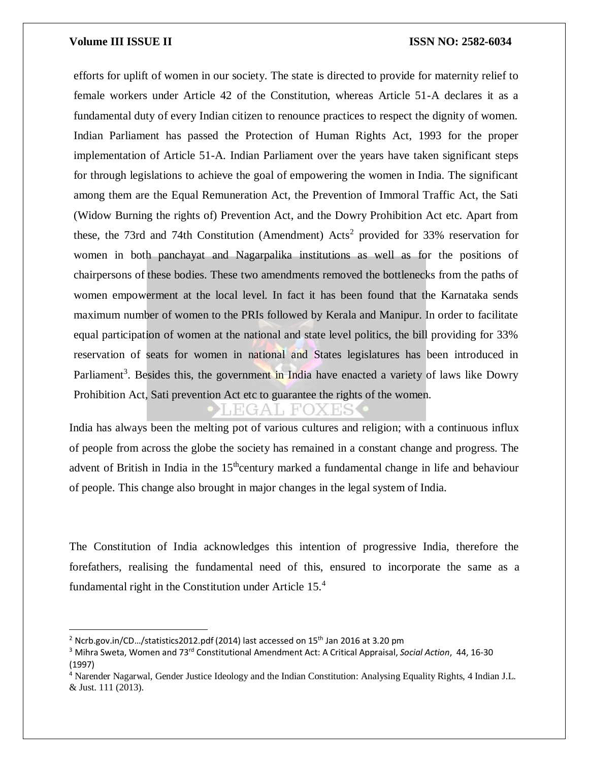$\overline{a}$ 

efforts for uplift of women in our society. The state is directed to provide for maternity relief to female workers under Article 42 of the Constitution, whereas Article 51-A declares it as a fundamental duty of every Indian citizen to renounce practices to respect the dignity of women. Indian Parliament has passed the Protection of Human Rights Act, 1993 for the proper implementation of Article 51-A. Indian Parliament over the years have taken significant steps for through legislations to achieve the goal of empowering the women in India. The significant among them are the Equal Remuneration Act, the Prevention of Immoral Traffic Act, the Sati (Widow Burning the rights of) Prevention Act, and the Dowry Prohibition Act etc. Apart from these, the 73rd and 74th Constitution (Amendment)  $Acts^2$  provided for 33% reservation for women in both panchayat and Nagarpalika institutions as well as for the positions of chairpersons of these bodies. These two amendments removed the bottlenecks from the paths of women empowerment at the local level. In fact it has been found that the Karnataka sends maximum number of women to the PRIs followed by Kerala and Manipur. In order to facilitate equal participation of women at the national and state level politics, the bill providing for 33% reservation of seats for women in national and States legislatures has been introduced in Parliament<sup>3</sup>. Besides this, the government in India have enacted a variety of laws like Dowry Prohibition Act, Sati prevention Act etc to guarantee the rights of the women.

 $\frac{1}{4}$ Ali

India has always been the melting pot of various cultures and religion; with a continuous influx of people from across the globe the society has remained in a constant change and progress. The advent of British in India in the  $15<sup>th</sup>$ century marked a fundamental change in life and behaviour of people. This change also brought in major changes in the legal system of India.

The Constitution of India acknowledges this intention of progressive India, therefore the forefathers, realising the fundamental need of this, ensured to incorporate the same as a fundamental right in the Constitution under Article 15.<sup>4</sup>

 $2$  Ncrb.gov.in/CD.../statistics2012.pdf (2014) last accessed on  $15<sup>th</sup>$  Jan 2016 at 3.20 pm

<sup>3</sup> Mihra Sweta, Women and 73rd Constitutional Amendment Act: A Critical Appraisal, *Social Action*, 44, 16-30 (1997)

<sup>4</sup> Narender Nagarwal, Gender Justice Ideology and the Indian Constitution: Analysing Equality Rights, 4 Indian J.L. & Just. 111 (2013).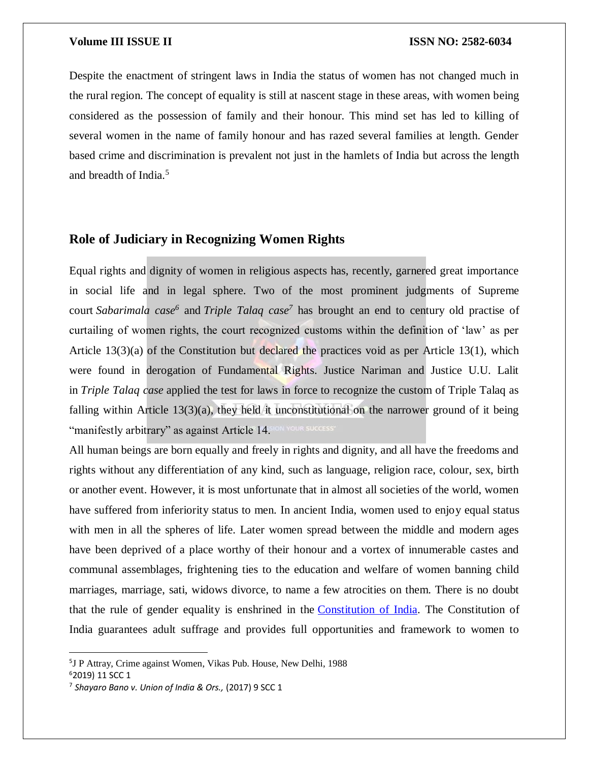Despite the enactment of stringent laws in India the status of women has not changed much in the rural region. The concept of equality is still at nascent stage in these areas, with women being considered as the possession of family and their honour. This mind set has led to killing of several women in the name of family honour and has razed several families at length. Gender based crime and discrimination is prevalent not just in the hamlets of India but across the length and breadth of India.<sup>5</sup>

# **Role of Judiciary in Recognizing Women Rights**

Equal rights and dignity of women in religious aspects has, recently, garnered great importance in social life and in legal sphere. Two of the most prominent judgments of Supreme court *Sabarimala case<sup>6</sup>* and *Triple Talaq case<sup>7</sup>* has brought an end to century old practise of curtailing of women rights, the court recognized customs within the definition of 'law' as per Article 13(3)(a) of the Constitution but declared the practices void as per Article 13(1), which were found in derogation of Fundamental Rights. Justice Nariman and Justice U.U. Lalit in *Triple Talaq case* applied the test for laws in force to recognize the custom of Triple Talaq as falling within Article  $13(3)(a)$ , they held it unconstitutional on the narrower ground of it being "manifestly arbitrary" as against Article 14.

All human beings are born equally and freely in rights and dignity, and all have the freedoms and rights without any differentiation of any kind, such as language, religion race, colour, sex, birth or another event. However, it is most unfortunate that in almost all societies of the world, women have suffered from inferiority status to men. In ancient India, women used to enjoy equal status with men in all the spheres of life. Later women spread between the middle and modern ages have been deprived of a place worthy of their honour and a vortex of innumerable castes and communal assemblages, frightening ties to the education and welfare of women banning child marriages, marriage, sati, widows divorce, to name a few atrocities on them. There is no doubt that the rule of gender equality is enshrined in the [Constitution of India.](https://www.advocatekhoj.com/library/bareacts/constitutionofindia/index.php?Title=Constitution%20of%20India,%201949) The Constitution of India guarantees adult suffrage and provides full opportunities and framework to women to

 $\overline{a}$ 

<sup>5</sup> J P Attray, Crime against Women, Vikas Pub. House, New Delhi, 1988

<sup>6</sup>2019) 11 SCC 1

<sup>7</sup> *Shayaro Bano v. Union of India & Ors.,* (2017) 9 SCC 1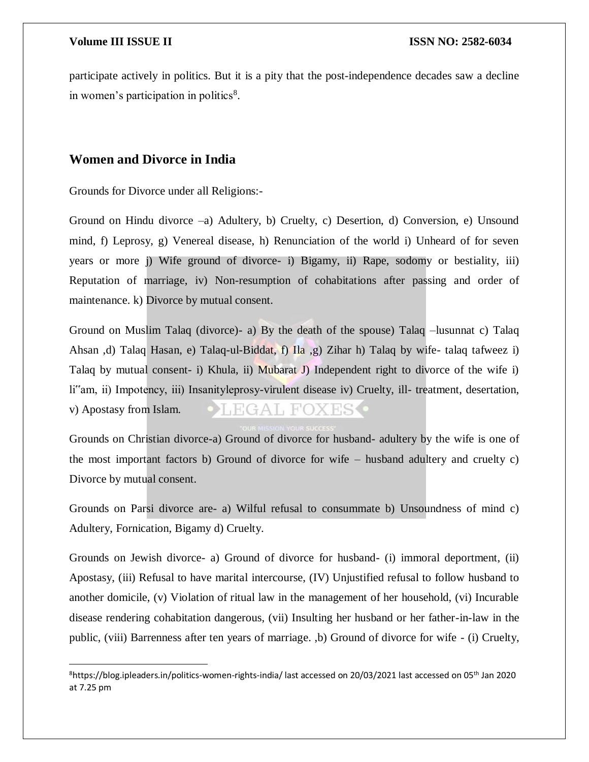$\overline{\phantom{a}}$ 

participate actively in politics. But it is a pity that the post-independence decades saw a decline in women's participation in politics $8$ .

# **Women and Divorce in India**

Grounds for Divorce under all Religions:-

Ground on Hindu divorce –a) Adultery, b) Cruelty, c) Desertion, d) Conversion, e) Unsound mind, f) Leprosy, g) Venereal disease, h) Renunciation of the world i) Unheard of for seven years or more j) Wife ground of divorce- i) Bigamy, ii) Rape, sodomy or bestiality, iii) Reputation of marriage, iv) Non-resumption of cohabitations after passing and order of maintenance. k) Divorce by mutual consent.

Ground on Muslim Talaq (divorce)- a) By the death of the spouse) Talaq –lusunnat c) Talaq Ahsan ,d) Talaq Hasan, e) Talaq-ul-Biddat, f) Ila ,g) Zihar h) Talaq by wife- talaq tafweez i) Talaq by mutual consent- i) Khula, ii) Mubarat J) Independent right to divorce of the wife i) li"am, ii) Impotency, iii) Insanityleprosy-virulent disease iv) Cruelty, ill- treatment, desertation, v) Apostasy from Islam.  $HGAI, HOX$ 

Grounds on Christian divorce-a) Ground of divorce for husband- adultery by the wife is one of the most important factors b) Ground of divorce for wife – husband adultery and cruelty c) Divorce by mutual consent.

Grounds on Parsi divorce are- a) Wilful refusal to consummate b) Unsoundness of mind c) Adultery, Fornication, Bigamy d) Cruelty.

Grounds on Jewish divorce- a) Ground of divorce for husband- (i) immoral deportment, (ii) Apostasy, (iii) Refusal to have marital intercourse, (IV) Unjustified refusal to follow husband to another domicile, (v) Violation of ritual law in the management of her household, (vi) Incurable disease rendering cohabitation dangerous, (vii) Insulting her husband or her father-in-law in the public, (viii) Barrenness after ten years of marriage. ,b) Ground of divorce for wife - (i) Cruelty,

<sup>&</sup>lt;sup>8</sup>https://blog.ipleaders.in/politics-women-rights-india/ last accessed on 20/03/2021 last accessed on 05<sup>th</sup> Jan 2020 at 7.25 pm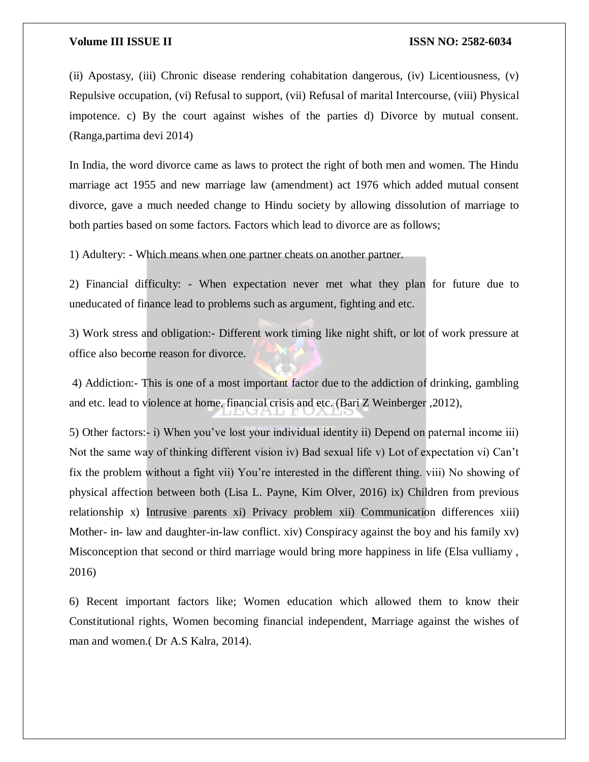(ii) Apostasy, (iii) Chronic disease rendering cohabitation dangerous, (iv) Licentiousness, (v) Repulsive occupation, (vi) Refusal to support, (vii) Refusal of marital Intercourse, (viii) Physical impotence. c) By the court against wishes of the parties d) Divorce by mutual consent. (Ranga,partima devi 2014)

In India, the word divorce came as laws to protect the right of both men and women. The Hindu marriage act 1955 and new marriage law (amendment) act 1976 which added mutual consent divorce, gave a much needed change to Hindu society by allowing dissolution of marriage to both parties based on some factors. Factors which lead to divorce are as follows;

1) Adultery: - Which means when one partner cheats on another partner.

2) Financial difficulty: - When expectation never met what they plan for future due to uneducated of finance lead to problems such as argument, fighting and etc.

3) Work stress and obligation:- Different work timing like night shift, or lot of work pressure at office also become reason for divorce.

4) Addiction:- This is one of a most important factor due to the addiction of drinking, gambling and etc. lead to violence at home, financial crisis and etc. (Bari Z Weinberger ,2012),

5) Other factors:- i) When you've lost your individual identity ii) Depend on paternal income iii) Not the same way of thinking different vision iv) Bad sexual life v) Lot of expectation vi) Can't fix the problem without a fight vii) You're interested in the different thing. viii) No showing of physical affection between both (Lisa L. Payne, Kim Olver, 2016) ix) Children from previous relationship x) Intrusive parents xi) Privacy problem xii) Communication differences xiii) Mother- in- law and daughter-in-law conflict. xiv) Conspiracy against the boy and his family xv) Misconception that second or third marriage would bring more happiness in life (Elsa vulliamy , 2016)

6) Recent important factors like; Women education which allowed them to know their Constitutional rights, Women becoming financial independent, Marriage against the wishes of man and women.( Dr A.S Kalra, 2014).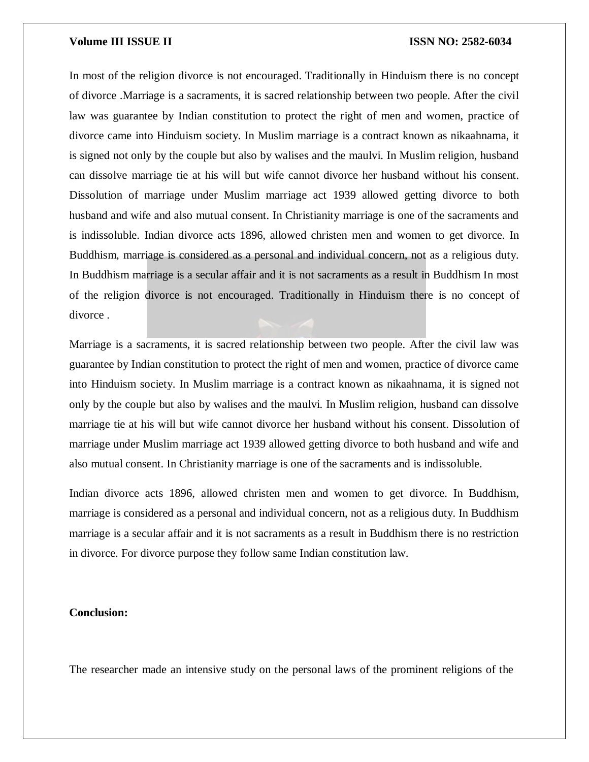In most of the religion divorce is not encouraged. Traditionally in Hinduism there is no concept of divorce .Marriage is a sacraments, it is sacred relationship between two people. After the civil law was guarantee by Indian constitution to protect the right of men and women, practice of divorce came into Hinduism society. In Muslim marriage is a contract known as nikaahnama, it is signed not only by the couple but also by walises and the maulvi. In Muslim religion, husband can dissolve marriage tie at his will but wife cannot divorce her husband without his consent. Dissolution of marriage under Muslim marriage act 1939 allowed getting divorce to both husband and wife and also mutual consent. In Christianity marriage is one of the sacraments and is indissoluble. Indian divorce acts 1896, allowed christen men and women to get divorce. In Buddhism, marriage is considered as a personal and individual concern, not as a religious duty. In Buddhism marriage is a secular affair and it is not sacraments as a result in Buddhism In most of the religion divorce is not encouraged. Traditionally in Hinduism there is no concept of divorce .

Marriage is a sacraments, it is sacred relationship between two people. After the civil law was guarantee by Indian constitution to protect the right of men and women, practice of divorce came into Hinduism society. In Muslim marriage is a contract known as nikaahnama, it is signed not only by the couple but also by walises and the maulvi. In Muslim religion, husband can dissolve marriage tie at his will but wife cannot divorce her husband without his consent. Dissolution of marriage under Muslim marriage act 1939 allowed getting divorce to both husband and wife and also mutual consent. In Christianity marriage is one of the sacraments and is indissoluble.

Indian divorce acts 1896, allowed christen men and women to get divorce. In Buddhism, marriage is considered as a personal and individual concern, not as a religious duty. In Buddhism marriage is a secular affair and it is not sacraments as a result in Buddhism there is no restriction in divorce. For divorce purpose they follow same Indian constitution law.

### **Conclusion:**

The researcher made an intensive study on the personal laws of the prominent religions of the